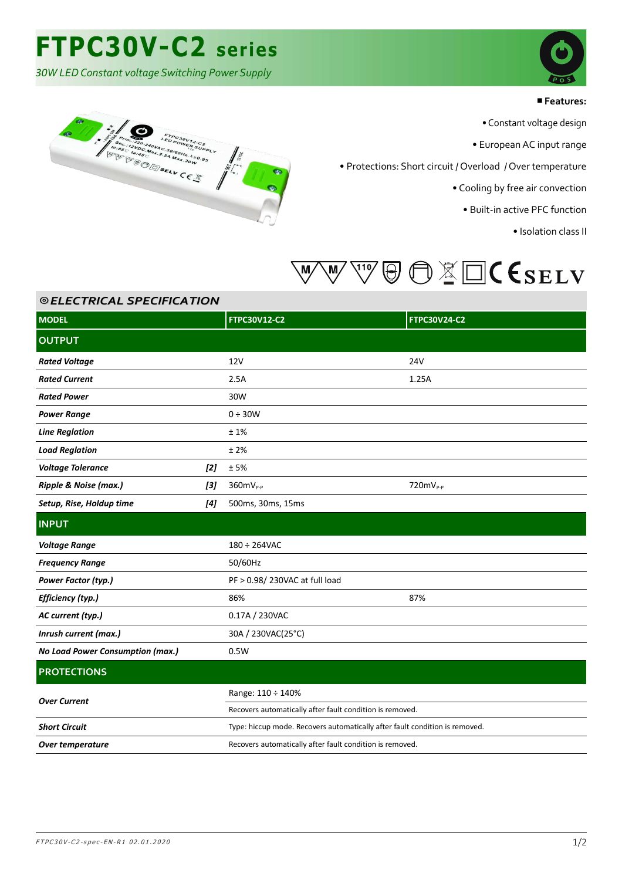## **FTPC30V-C2 series**

*30W LED Constant voltage Switching Power Supply*

A CONSTRUCTION AND SELVICE AND SELVICE AND SELVICE AND SURVEY AND SURVEY AND SURVEY AND SURVEY AND SURVEY AND SURVEY AND SURVEY AND SURVEY AND SURVEY AND SURVEY AND SURVEY AND SURVEY AND SURVEY AND SURVEY AND SURVEY AND SU



#### ■**Features:**

• Constant voltage design

• European AC input range

• Protections: Short circuit / Overload / Over temperature

• Cooling by free air convection

• Built-in active PFC function

• Isolation class II



| <b>©ELECTRICAL SPECIFICATION</b> |       |                                                                             |                     |  |  |
|----------------------------------|-------|-----------------------------------------------------------------------------|---------------------|--|--|
| <b>MODEL</b>                     |       | <b>FTPC30V12-C2</b>                                                         | <b>FTPC30V24-C2</b> |  |  |
| <b>OUTPUT</b>                    |       |                                                                             |                     |  |  |
| <b>Rated Voltage</b>             |       | 12V                                                                         | <b>24V</b>          |  |  |
| <b>Rated Current</b>             |       | 2.5A                                                                        | 1.25A               |  |  |
| <b>Rated Power</b>               |       | 30W                                                                         |                     |  |  |
| <b>Power Range</b>               |       | $0 \div 30W$                                                                |                     |  |  |
| <b>Line Reglation</b>            |       | ±1%                                                                         |                     |  |  |
| <b>Load Reglation</b>            |       | ±2%                                                                         |                     |  |  |
| <b>Voltage Tolerance</b>         | $[2]$ | ±5%                                                                         |                     |  |  |
| Ripple & Noise (max.)            | [3]   | $360mV_{P-P}$                                                               | $720mV_{P-P}$       |  |  |
| Setup, Rise, Holdup time         | [4]   | 500ms, 30ms, 15ms                                                           |                     |  |  |
| <b>INPUT</b>                     |       |                                                                             |                     |  |  |
| <b>Voltage Range</b>             |       | $180 \div 264$ VAC                                                          |                     |  |  |
| <b>Frequency Range</b>           |       | 50/60Hz                                                                     |                     |  |  |
| Power Factor (typ.)              |       | PF > 0.98/230VAC at full load                                               |                     |  |  |
| Efficiency (typ.)                |       | 86%                                                                         | 87%                 |  |  |
| AC current (typ.)                |       | 0.17A / 230VAC                                                              |                     |  |  |
| Inrush current (max.)            |       | 30A / 230VAC(25°C)                                                          |                     |  |  |
| No Load Power Consumption (max.) |       | 0.5W                                                                        |                     |  |  |
| <b>PROTECTIONS</b>               |       |                                                                             |                     |  |  |
| <b>Over Current</b>              |       | Range: 110 ÷ 140%                                                           |                     |  |  |
|                                  |       | Recovers automatically after fault condition is removed.                    |                     |  |  |
| <b>Short Circuit</b>             |       | Type: hiccup mode. Recovers automatically after fault condition is removed. |                     |  |  |
| Over temperature                 |       | Recovers automatically after fault condition is removed.                    |                     |  |  |